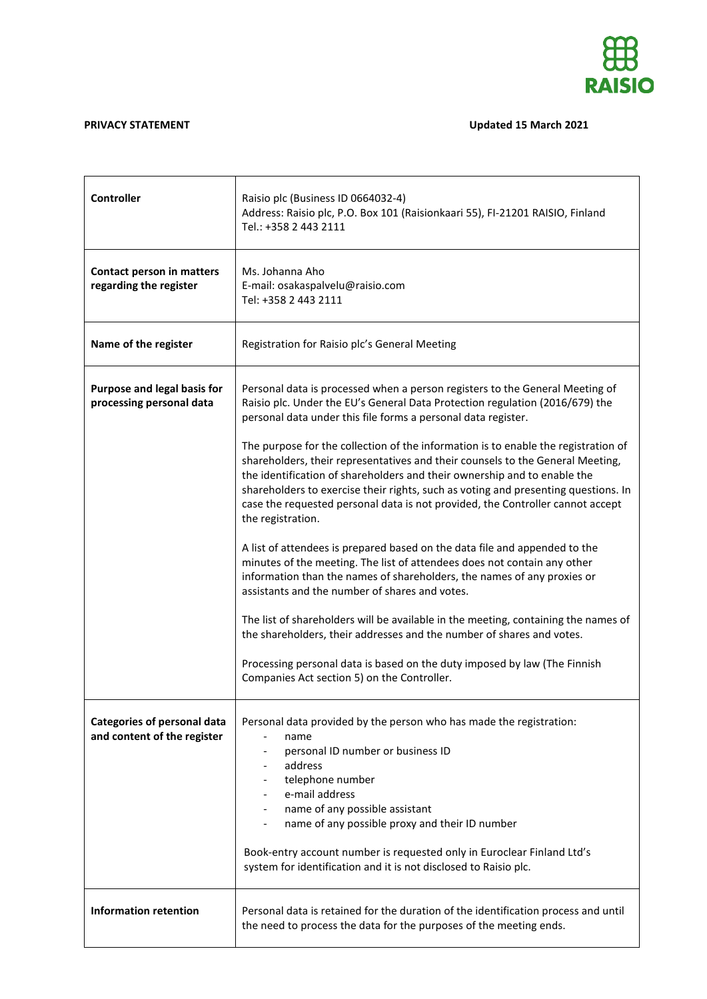

## **PRIVACY STATEMENT Updated 15 March 2021**

| <b>Controller</b>                                                 | Raisio plc (Business ID 0664032-4)<br>Address: Raisio plc, P.O. Box 101 (Raisionkaari 55), FI-21201 RAISIO, Finland<br>Tel.: +358 2 443 2111                                                                                                                                                                                                                                                                                                  |
|-------------------------------------------------------------------|-----------------------------------------------------------------------------------------------------------------------------------------------------------------------------------------------------------------------------------------------------------------------------------------------------------------------------------------------------------------------------------------------------------------------------------------------|
| Contact person in matters<br>regarding the register               | Ms. Johanna Aho<br>E-mail: osakaspalvelu@raisio.com<br>Tel: +358 2 443 2111                                                                                                                                                                                                                                                                                                                                                                   |
| Name of the register                                              | Registration for Raisio plc's General Meeting                                                                                                                                                                                                                                                                                                                                                                                                 |
| Purpose and legal basis for<br>processing personal data           | Personal data is processed when a person registers to the General Meeting of<br>Raisio plc. Under the EU's General Data Protection regulation (2016/679) the<br>personal data under this file forms a personal data register.                                                                                                                                                                                                                 |
|                                                                   | The purpose for the collection of the information is to enable the registration of<br>shareholders, their representatives and their counsels to the General Meeting,<br>the identification of shareholders and their ownership and to enable the<br>shareholders to exercise their rights, such as voting and presenting questions. In<br>case the requested personal data is not provided, the Controller cannot accept<br>the registration. |
|                                                                   | A list of attendees is prepared based on the data file and appended to the<br>minutes of the meeting. The list of attendees does not contain any other<br>information than the names of shareholders, the names of any proxies or<br>assistants and the number of shares and votes.                                                                                                                                                           |
|                                                                   | The list of shareholders will be available in the meeting, containing the names of<br>the shareholders, their addresses and the number of shares and votes.                                                                                                                                                                                                                                                                                   |
|                                                                   | Processing personal data is based on the duty imposed by law (The Finnish<br>Companies Act section 5) on the Controller.                                                                                                                                                                                                                                                                                                                      |
| <b>Categories of personal data</b><br>and content of the register | Personal data provided by the person who has made the registration:<br>name<br>personal ID number or business ID<br>address<br>telephone number<br>e-mail address<br>name of any possible assistant<br>name of any possible proxy and their ID number<br>Book-entry account number is requested only in Euroclear Finland Ltd's<br>system for identification and it is not disclosed to Raisio plc.                                           |
| <b>Information retention</b>                                      | Personal data is retained for the duration of the identification process and until<br>the need to process the data for the purposes of the meeting ends.                                                                                                                                                                                                                                                                                      |